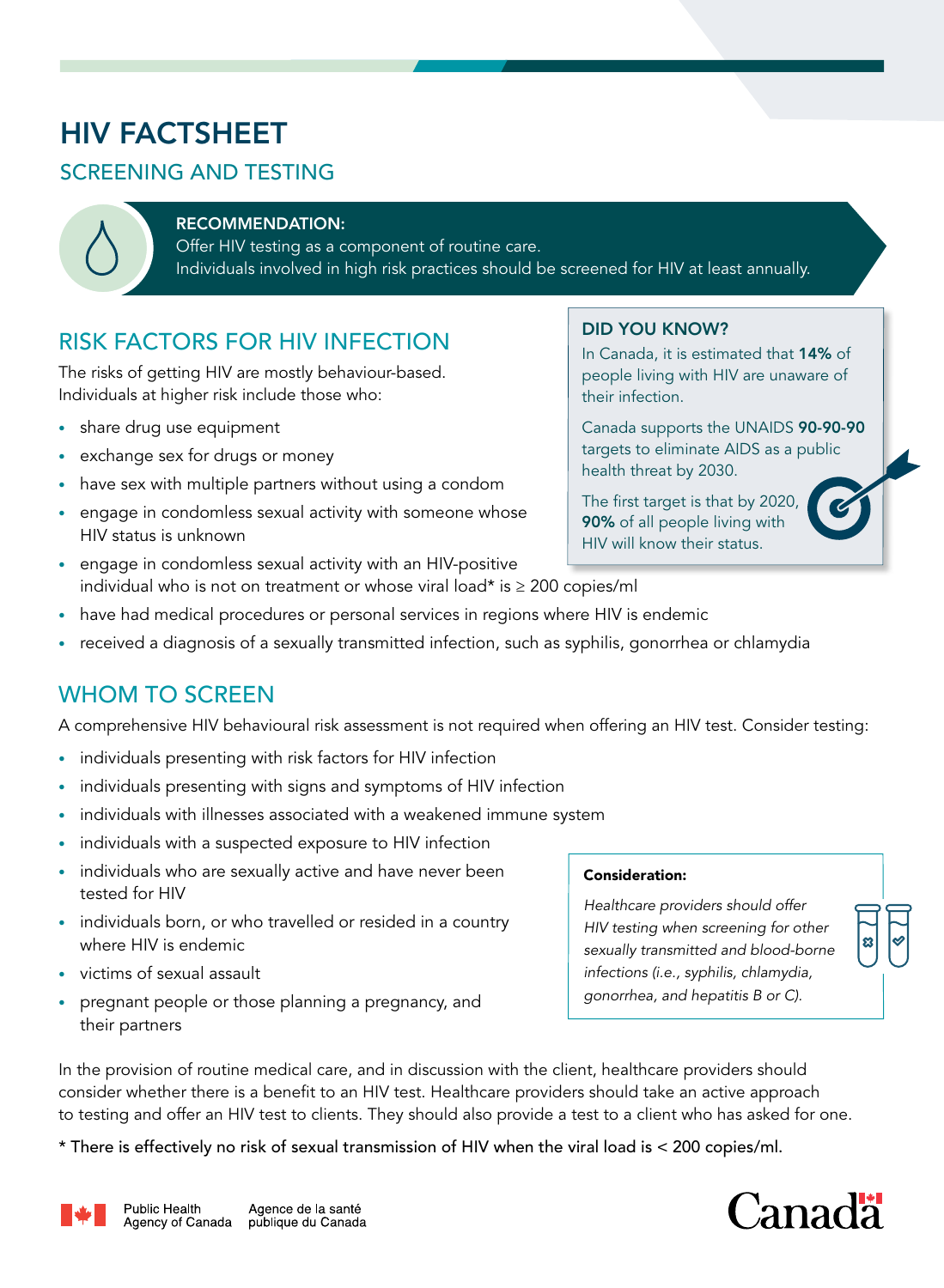# HIV FACTSHEET

### SCREENING AND TESTING

### RECOMMENDATION:

Offer HIV testing as a component of routine care. Individuals involved in high risk practices should be screened for HIV at least annually.

# RISK FACTORS FOR HIV INFECTION

The risks of getting HIV are mostly behaviour-based. Individuals at higher risk include those who:

- share drug use equipment
- exchange sex for drugs or money
- have sex with multiple partners without using a condom
- engage in condomless sexual activity with someone whose HIV status is unknown
- engage in condomless sexual activity with an HIV-positive individual who is not on treatment or whose viral load\* is ≥ 200 copies/ml
- have had medical procedures or personal services in regions where HIV is endemic
- received a diagnosis of a sexually transmitted infection, such as syphilis, gonorrhea or chlamydia

## WHOM TO SCREEN

A comprehensive HIV behavioural risk assessment is not required when offering an HIV test. Consider testing:

- individuals presenting with risk factors for HIV infection
- individuals presenting with signs and symptoms of HIV infection
- individuals with illnesses associated with a weakened immune system
- individuals with a suspected exposure to HIV infection
- individuals who are sexually active and have never been tested for HIV
- individuals born, or who travelled or resided in a country where HIV is endemic
- victims of sexual assault
- pregnant people or those planning a pregnancy, and their partners

In the provision of routine medical care, and in discussion with the client, healthcare providers should consider whether there is a benefit to an HIV test. Healthcare providers should take an active approach to testing and offer an HIV test to clients. They should also provide a test to a client who has asked for one.

\* There is effectively no risk of sexual transmission of HIV when the viral load is < 200 copies/ml.



### DID YOU KNOW?

In Canada, it is estimated that 14% of people living with HIV are unaware of their infection.

Canada supports the UNAIDS 90-90-90 targets to eliminate AIDS as a public health threat by 2030.

The first target is that by 2020, 90% of all people living with HIV will know their status.

### Consideration:

*Healthcare providers should offer HIV testing when screening for other sexually transmitted and blood-borne infections (i.e., syphilis, chlamydia, gonorrhea, and hepatitis B or C).*